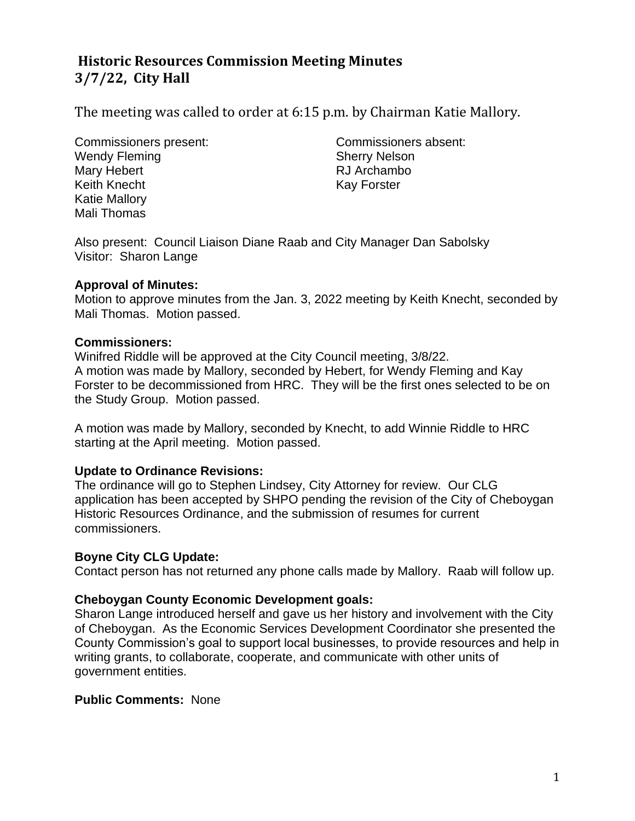# **Historic Resources Commission Meeting Minutes 3/7/22, City Hall**

The meeting was called to order at 6:15 p.m. by Chairman Katie Mallory.

Commissioners present: Commissioners absent: Wendy Fleming Sherry Nelson Mary Hebert **RJ** Archambo Keith Knecht Kay Forster Katie Mallory Mali Thomas

Also present: Council Liaison Diane Raab and City Manager Dan Sabolsky Visitor: Sharon Lange

#### **Approval of Minutes:**

Motion to approve minutes from the Jan. 3, 2022 meeting by Keith Knecht, seconded by Mali Thomas. Motion passed.

#### **Commissioners:**

Winifred Riddle will be approved at the City Council meeting, 3/8/22. A motion was made by Mallory, seconded by Hebert, for Wendy Fleming and Kay Forster to be decommissioned from HRC. They will be the first ones selected to be on the Study Group. Motion passed.

A motion was made by Mallory, seconded by Knecht, to add Winnie Riddle to HRC starting at the April meeting. Motion passed.

## **Update to Ordinance Revisions:**

The ordinance will go to Stephen Lindsey, City Attorney for review. Our CLG application has been accepted by SHPO pending the revision of the City of Cheboygan Historic Resources Ordinance, and the submission of resumes for current commissioners.

#### **Boyne City CLG Update:**

Contact person has not returned any phone calls made by Mallory. Raab will follow up.

#### **Cheboygan County Economic Development goals:**

Sharon Lange introduced herself and gave us her history and involvement with the City of Cheboygan. As the Economic Services Development Coordinator she presented the County Commission's goal to support local businesses, to provide resources and help in writing grants, to collaborate, cooperate, and communicate with other units of government entities.

#### **Public Comments:** None